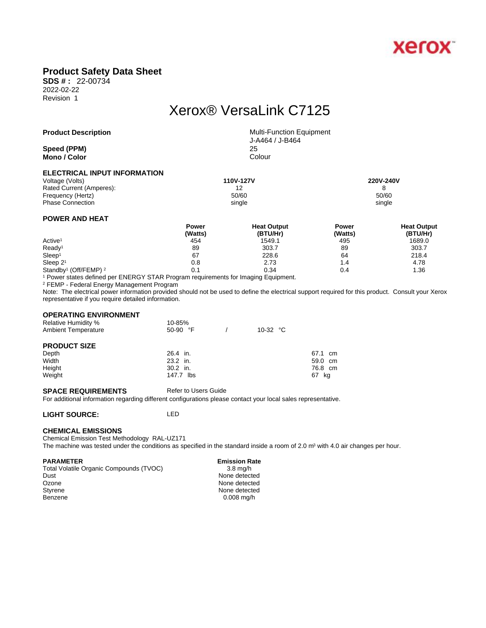

## **Product Safety Data Sheet**

**SDS # :** 22-00734 2022-02-22 Revision 1

# Xerox® VersaLink C7125

| <b>Product Description</b>          | <b>Multi-Function Equipment</b><br>J-A464 / J-B464 |
|-------------------------------------|----------------------------------------------------|
| Speed (PPM)<br>Mono / Color         | 25<br>Colour                                       |
| <b>ELECTRICAL INPUT INFORMATION</b> |                                                    |

| Voltage (Volts)          | 110V-127V | 220V-240V |
|--------------------------|-----------|-----------|
| Rated Current (Amperes): | ィっ        |           |
| Frequency (Hertz)        | 50/60     | 50/60     |
| <b>Phase Connection</b>  | single    | single    |
|                          |           |           |

### **POWER AND HEAT**

|                                              | Power   | <b>Heat Output</b> | Power   | <b>Heat Output</b> |  |
|----------------------------------------------|---------|--------------------|---------|--------------------|--|
|                                              | (Watts) | (BTU/Hr)           | (Watts) | (BTU/Hr)           |  |
| Active <sup>1</sup>                          | 454     | 1549.1             | 495     | 1689.0             |  |
| Ready <sup>1</sup>                           | 89      | 303.7              | 89      | 303.7              |  |
| Sleep <sup>1</sup>                           | 67      | 228.6              | 64      | 218.4              |  |
| Sleep $21$                                   | 0.8     | 2.73               | 1.4     | 4.78               |  |
| Standby <sup>1</sup> (Off/FEMP) <sup>2</sup> | 0.1     | 0.34               | 0.4     | 1.36               |  |

1 Power states defined per ENERGY STAR Program requirements for Imaging Equipment.

2 FEMP - Federal Energy Management Program

Note: The electrical power information provided should not be used to define the electrical support required for this product. Consult your Xerox representative if you require detailed information.

#### **OPERATING ENVIRONMENT**

| <b>Relative Humidity %</b><br><b>Ambient Temperature</b> | 10-85%<br>$50-90$ °F | 10-32 $\degree$ C |          |
|----------------------------------------------------------|----------------------|-------------------|----------|
| <b>PRODUCT SIZE</b>                                      |                      |                   |          |
| Depth                                                    | 26.4 in.             |                   | 67.1 cm  |
| Width                                                    | 23.2 in.             |                   | 59.0 cm  |
| Height                                                   | $30.2$ in.           |                   | 76.8 cm  |
| Weight                                                   | 147.7 lbs            |                   | 67<br>kg |

#### **SPACE REQUIREMENTS** Refer to Users Guide

For additional information regarding different configurations please contact your local sales representative.

#### **LIGHT SOURCE:** LED

**CHEMICAL EMISSIONS** 

Chemical Emission Test Methodology RAL-UZ171 The machine was tested under the conditions as specified in the standard inside a room of 2.0 m<sup>3</sup> with 4.0 air changes per hour.

#### **PARAMETER** Emission Rate

Total Volatile Organic Compounds (TVOC) 3.8 mg/h<br>Dust None detect Dust None detected Ozone None detected<br>
Styrene None detected<br>
None detected Benzene 0.008 mg/h

None detected